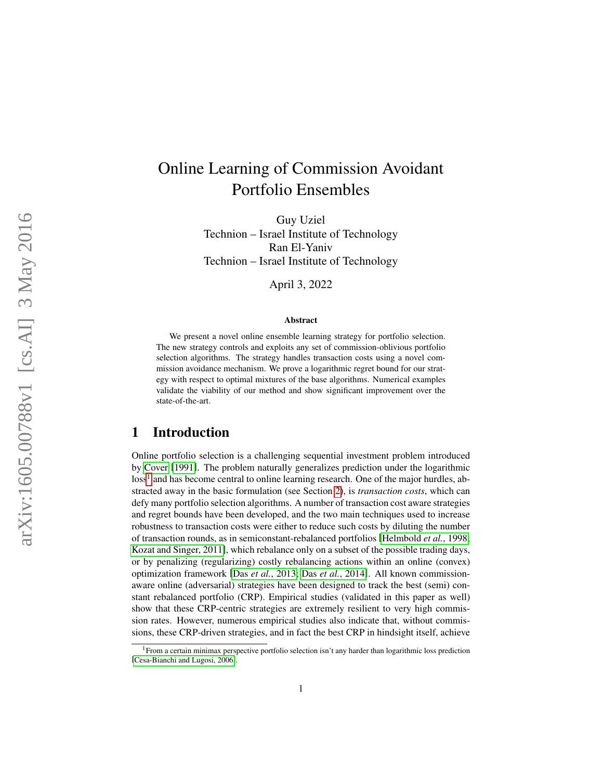# Online Learning of Commission Avoidant Portfolio Ensembles

Guy Uziel Technion – Israel Institute of Technology Ran El-Yaniv Technion – Israel Institute of Technology

April 3, 2022

#### Abstract

We present a novel online ensemble learning strategy for portfolio selection. The new strategy controls and exploits any set of commission-oblivious portfolio selection algorithms. The strategy handles transaction costs using a novel commission avoidance mechanism. We prove a logarithmic regret bound for our strategy with respect to optimal mixtures of the base algorithms. Numerical examples validate the viability of our method and show significant improvement over the state-of-the-art.

# 1 Introduction

Online portfolio selection is a challenging sequential investment problem introduced by [Cover](#page-13-0) [\[1991](#page-13-0) ]. The problem naturally generalizes prediction under the logarithmic loss<sup>[1](#page-0-0)</sup> and has become central to online learning research. One of the major hurdles, abstracted away in the basic formulation (see Section [2\)](#page-1-0), is *transaction costs*, which can defy many portfolio selection algorithms. A number of transaction cost aware strategies and regret bounds have been developed, and the two main techniques used to increase robustness to transaction costs were either to reduce such costs by diluting the number of transaction rounds, as in semiconstant-rebalanced portfolios [\[Helmbold](#page-14-0) *et al.*, 1998; [Kozat and Singer, 2011](#page-14-1) ], which rebalance only on a subset of the possible trading days, or by penalizing (regularizing) costly rebalancing actions within an online (convex) optimization framework [Das *et al.*[, 2013;](#page-13-1) Das *et al.*[, 2014](#page-13-2) ]. All known commissionaware online (adversarial) strategies have been designed to track the best (semi) constant rebalanced portfolio (CRP). Empirical studies (validated in this paper as well) show that these CRP-centric strategies are extremely resilient to very high commission rates. However, numerous empirical studies also indicate that, without commissions, these CRP-driven strategies, and in fact the best CRP in hindsight itself, achieve

<span id="page-0-0"></span><sup>&</sup>lt;sup>1</sup>From a certain minimax perspective portfolio selection isn't any harder than logarithmic loss prediction [\[Cesa-Bianchi and Lugosi, 2006\]](#page-13-3).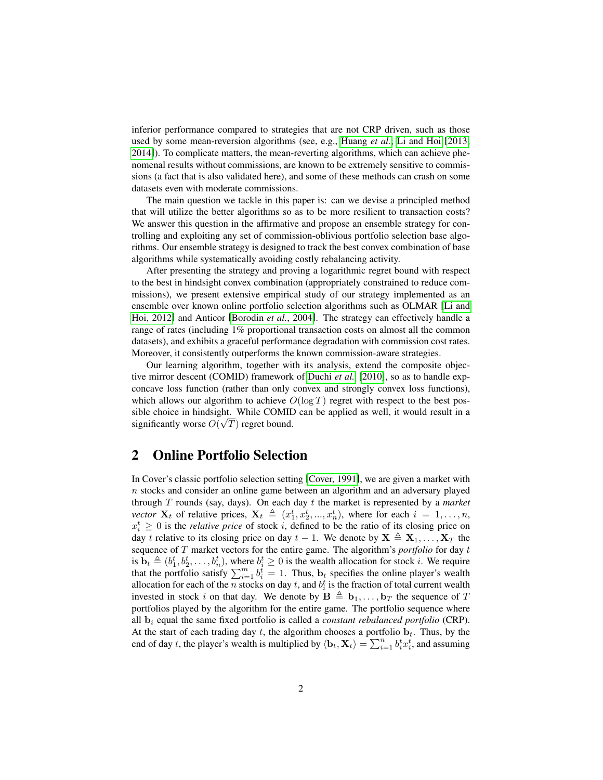inferior performance compared to strategies that are not CRP driven, such as those used by some mean-reversion algorithms (see, e.g., [Huang](#page-14-2) *et al.*; [Li and Hoi](#page-15-0) [\[2013;](#page-14-2) [2014\]](#page-15-0)). To complicate matters, the mean-reverting algorithms, which can achieve phenomenal results without commissions, are known to be extremely sensitive to commissions (a fact that is also validated here), and some of these methods can crash on some datasets even with moderate commissions.

The main question we tackle in this paper is: can we devise a principled method that will utilize the better algorithms so as to be more resilient to transaction costs? We answer this question in the affirmative and propose an ensemble strategy for controlling and exploiting any set of commission-oblivious portfolio selection base algorithms. Our ensemble strategy is designed to track the best convex combination of base algorithms while systematically avoiding costly rebalancing activity.

After presenting the strategy and proving a logarithmic regret bound with respect to the best in hindsight convex combination (appropriately constrained to reduce commissions), we present extensive empirical study of our strategy implemented as an ensemble over known online portfolio selection algorithms such as OLMAR [\[Li and](#page-14-3) [Hoi, 2012\]](#page-14-3) and Anticor [\[Borodin](#page-13-4) *et al.*, 2004]. The strategy can effectively handle a range of rates (including 1% proportional transaction costs on almost all the common datasets), and exhibits a graceful performance degradation with commission cost rates. Moreover, it consistently outperforms the known commission-aware strategies.

Our learning algorithm, together with its analysis, extend the composite objective mirror descent (COMID) framework of [Duchi](#page-14-4) *et al.* [\[2010\]](#page-14-4), so as to handle expconcave loss function (rather than only convex and strongly convex loss functions), which allows our algorithm to achieve  $O(\log T)$  regret with respect to the best possible choice in hindsight. While COMID can be applied as well, it would result in a significantly worse  $O(\sqrt{T})$  regret bound.

## <span id="page-1-0"></span>2 Online Portfolio Selection

In Cover's classic portfolio selection setting [\[Cover, 1991\]](#page-13-0), we are given a market with n stocks and consider an online game between an algorithm and an adversary played through T rounds (say, days). On each day t the market is represented by a *market vector*  $X_t$  of relative prices,  $X_t \triangleq (x_1^t, x_2^t, ..., x_n^t)$ , where for each  $i = 1, ..., n$ ,  $x_i^t \geq 0$  is the *relative price* of stock *i*, defined to be the ratio of its closing price on day t relative to its closing price on day  $t - 1$ . We denote by  $X \triangleq X_1, \ldots, X_T$  the sequence of T market vectors for the entire game. The algorithm's *portfolio* for day t is  $\mathbf{b}_t \triangleq (b_1^t, b_2^t, \dots, b_n^t)$ , where  $b_i^t \geq 0$  is the wealth allocation for stock *i*. We require that the portfolio satisfy  $\sum_{i=1}^{m} b_i^i = 1$ . Thus,  $\mathbf{b}_t$  specifies the online player's wealth allocation for each of the *n* stocks on day *t*, and  $b_i^t$  is the fraction of total current wealth invested in stock i on that day. We denote by  $\mathbf{B} \triangleq \mathbf{b}_1, \ldots, \mathbf{b}_T$  the sequence of T portfolios played by the algorithm for the entire game. The portfolio sequence where all  $\mathbf{b}_i$  equal the same fixed portfolio is called a *constant rebalanced portfolio* (CRP). At the start of each trading day t, the algorithm chooses a portfolio  $\mathbf{b}_t$ . Thus, by the end of day t, the player's wealth is multiplied by  $\langle \mathbf{b}_t, \mathbf{X}_t \rangle = \sum_{i=1}^n b_i^t x_i^t$ , and assuming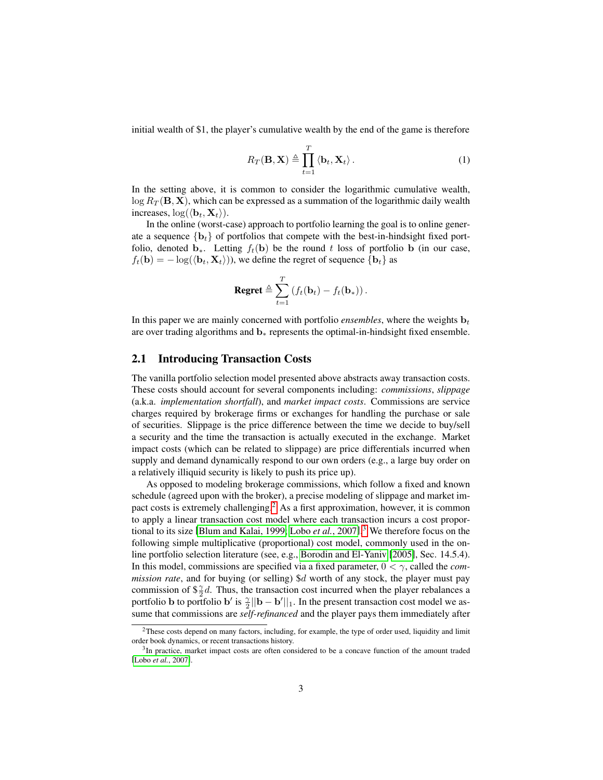initial wealth of \$1, the player's cumulative wealth by the end of the game is therefore

$$
R_T(\mathbf{B}, \mathbf{X}) \triangleq \prod_{t=1}^T \langle \mathbf{b}_t, \mathbf{X}_t \rangle.
$$
 (1)

In the setting above, it is common to consider the logarithmic cumulative wealth,  $\log R_T(\mathbf{B}, \mathbf{X})$ , which can be expressed as a summation of the logarithmic daily wealth increases,  $log(\langle \mathbf{b}_t, \mathbf{X}_t \rangle)$ .

In the online (worst-case) approach to portfolio learning the goal is to online generate a sequence  $\{b_t\}$  of portfolios that compete with the best-in-hindsight fixed portfolio, denoted  $\mathbf{b}_*$ . Letting  $f_t(\mathbf{b})$  be the round t loss of portfolio b (in our case,  $f_t(\mathbf{b}) = -\log(\langle \mathbf{b}_t, \mathbf{X}_t \rangle)$ , we define the regret of sequence  $\{\mathbf{b}_t\}$  as

$$
\text{Regret} \triangleq \sum_{t=1}^T \left( f_t(\mathbf{b}_t) - f_t(\mathbf{b}_*) \right).
$$

In this paper we are mainly concerned with portfolio *ensembles*, where the weights  $\mathbf{b}_t$ are over trading algorithms and b<sup>∗</sup> represents the optimal-in-hindsight fixed ensemble.

#### 2.1 Introducing Transaction Costs

The vanilla portfolio selection model presented above abstracts away transaction costs. These costs should account for several components including: *commissions*, *slippage* (a.k.a. *implementation shortfall*), and *market impact costs*. Commissions are service charges required by brokerage firms or exchanges for handling the purchase or sale of securities. Slippage is the price difference between the time we decide to buy/sell a security and the time the transaction is actually executed in the exchange. Market impact costs (which can be related to slippage) are price differentials incurred when supply and demand dynamically respond to our own orders (e.g., a large buy order on a relatively illiquid security is likely to push its price up).

As opposed to modeling brokerage commissions, which follow a fixed and known schedule (agreed upon with the broker), a precise modeling of slippage and market im-pact costs is extremely challenging.<sup>[2](#page-2-0)</sup> As a first approximation, however, it is common to apply a linear transaction cost model where each transaction incurs a cost proportional to its size [\[Blum and Kalai, 1999;](#page-13-5) Lobo *et al.*[, 2007\]](#page-15-1). [3](#page-2-1) We therefore focus on the following simple multiplicative (proportional) cost model, commonly used in the online portfolio selection literature (see, e.g., [Borodin and El-Yaniv](#page-13-6) [\[2005\]](#page-13-6), Sec. 14.5.4). In this model, commissions are specified via a fixed parameter,  $0 < \gamma$ , called the *commission rate*, and for buying (or selling) \$d worth of any stock, the player must pay commission of  $\frac{1}{2}d$ . Thus, the transaction cost incurred when the player rebalances a portfolio b to portfolio b' is  $\frac{\gamma}{2}||\mathbf{b} - \mathbf{b}'||_1$ . In the present transaction cost model we assume that commissions are *self-refinanced* and the player pays them immediately after

<span id="page-2-0"></span> ${}^{2}$ These costs depend on many factors, including, for example, the type of order used, liquidity and limit order book dynamics, or recent transactions history.

<span id="page-2-1"></span><sup>&</sup>lt;sup>3</sup>In practice, market impact costs are often considered to be a concave function of the amount traded [Lobo *et al.*[, 2007\]](#page-15-1).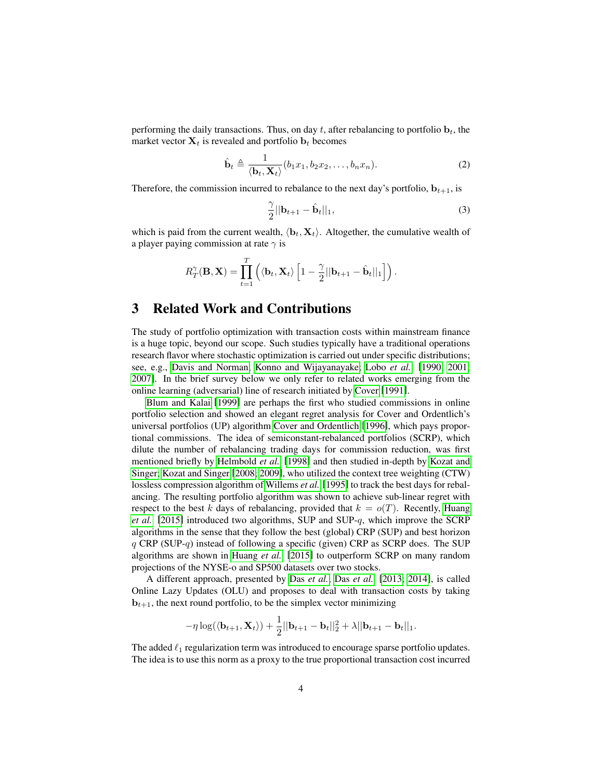performing the daily transactions. Thus, on day t, after rebalancing to portfolio  $\mathbf{b}_t$ , the market vector  $X_t$  is revealed and portfolio  $b_t$  becomes

$$
\hat{\mathbf{b}}_t \triangleq \frac{1}{\langle \mathbf{b}_t, \mathbf{X}_t \rangle} (b_1 x_1, b_2 x_2, \dots, b_n x_n). \tag{2}
$$

Therefore, the commission incurred to rebalance to the next day's portfolio,  $\mathbf{b}_{t+1}$ , is

<span id="page-3-0"></span>
$$
\frac{\gamma}{2}||\mathbf{b}_{t+1} - \hat{\mathbf{b}}_t||_1, \tag{3}
$$

which is paid from the current wealth,  $\langle \mathbf{b}_t, \mathbf{X}_t \rangle$ . Altogether, the cumulative wealth of a player paying commission at rate  $\gamma$  is

$$
R_T^{\gamma}(\mathbf{B}, \mathbf{X}) = \prod_{t=1}^T \left( \langle \mathbf{b}_t, \mathbf{X}_t \rangle \left[ 1 - \frac{\gamma}{2} || \mathbf{b}_{t+1} - \hat{\mathbf{b}}_t ||_1 \right] \right).
$$

## <span id="page-3-1"></span>3 Related Work and Contributions

The study of portfolio optimization with transaction costs within mainstream finance is a huge topic, beyond our scope. Such studies typically have a traditional operations research flavor where stochastic optimization is carried out under specific distributions; see, e.g., [Davis and Norman;](#page-13-7) [Konno and Wijayanayake;](#page-14-5) [Lobo](#page-15-1) *et al.* [\[1990;](#page-13-7) [2001;](#page-14-5) [2007\]](#page-15-1). In the brief survey below we only refer to related works emerging from the online learning (adversarial) line of research initiated by [Cover](#page-13-0) [\[1991\]](#page-13-0).

[Blum and Kalai](#page-13-5) [\[1999\]](#page-13-5) are perhaps the first who studied commissions in online portfolio selection and showed an elegant regret analysis for Cover and Ordentlich's universal portfolios (UP) algorithm [Cover and Ordentlich](#page-13-8) [\[1996\]](#page-13-8), which pays proportional commissions. The idea of semiconstant-rebalanced portfolios (SCRP), which dilute the number of rebalancing trading days for commission reduction, was first mentioned briefly by [Helmbold](#page-14-0) *et al.* [\[1998\]](#page-14-0) and then studied in-depth by [Kozat and](#page-14-6) [Singer;](#page-14-6) [Kozat and Singer](#page-14-7) [\[2008;](#page-14-6) [2009\]](#page-14-7), who utilized the context tree weighting (CTW) lossless compression algorithm of [Willems](#page-15-2) *et al.* [\[1995\]](#page-15-2) to track the best days for rebalancing. The resulting portfolio algorithm was shown to achieve sub-linear regret with respect to the best k days of rebalancing, provided that  $k = o(T)$ . Recently, [Huang](#page-14-8) *[et al.](#page-14-8)* [\[2015\]](#page-14-8) introduced two algorithms, SUP and SUP-q, which improve the SCRP algorithms in the sense that they follow the best (global) CRP (SUP) and best horizon  $q$  CRP (SUP- $q$ ) instead of following a specific (given) CRP as SCRP does. The SUP algorithms are shown in [Huang](#page-14-8) *et al.* [\[2015\]](#page-14-8) to outperform SCRP on many random projections of the NYSE-o and SP500 datasets over two stocks.

A different approach, presented by Das *[et al.](#page-13-1)*; Das *[et al.](#page-13-2)* [\[2013;](#page-13-1) [2014\]](#page-13-2), is called Online Lazy Updates (OLU) and proposes to deal with transaction costs by taking **, the next round portfolio, to be the simplex vector minimizing** 

$$
-\eta \log(\langle \mathbf{b}_{t+1}, \mathbf{X}_t \rangle) + \frac{1}{2} ||\mathbf{b}_{t+1} - \mathbf{b}_t||_2^2 + \lambda ||\mathbf{b}_{t+1} - \mathbf{b}_t||_1.
$$

The added  $\ell_1$  regularization term was introduced to encourage sparse portfolio updates. The idea is to use this norm as a proxy to the true proportional transaction cost incurred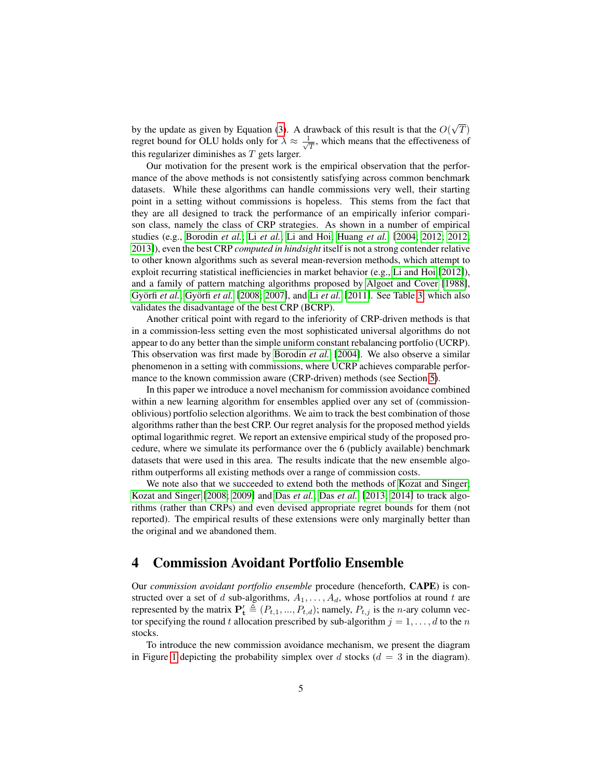by the update as given by Equation [\(3\)](#page-3-0). A drawback of this result is that the  $O($ √  $\scriptstyle T)$ regret bound for OLU holds only for  $\lambda \approx \frac{1}{\sqrt{\lambda}}$  $\frac{1}{\overline{T}}$ , which means that the effectiveness of this regularizer diminishes as  $T$  gets larger.

Our motivation for the present work is the empirical observation that the performance of the above methods is not consistently satisfying across common benchmark datasets. While these algorithms can handle commissions very well, their starting point in a setting without commissions is hopeless. This stems from the fact that they are all designed to track the performance of an empirically inferior comparison class, namely the class of CRP strategies. As shown in a number of empirical studies (e.g., [Borodin](#page-13-4) *et al.*; Li *[et al.](#page-15-3)*; [Li and Hoi;](#page-14-3) [Huang](#page-14-2) *et al.* [\[2004;](#page-13-4) [2012;](#page-15-3) [2012;](#page-14-3) [2013\]](#page-14-2)), even the best CRP *computed in hindsight* itself is not a strong contender relative to other known algorithms such as several mean-reversion methods, which attempt to exploit recurring statistical inefficiencies in market behavior (e.g., [Li and Hoi](#page-14-3) [\[2012\]](#page-14-3)), and a family of pattern matching algorithms proposed by [Algoet and Cover](#page-13-9) [\[1988\]](#page-13-9), Györfi *[et al.](#page-15-4)*; Györfi *et al.* [\[2008;](#page-14-9) [2007\]](#page-14-10), and Li *et al.* [\[2011\]](#page-15-4). See Table [3,](#page-11-0) which also validates the disadvantage of the best CRP (BCRP).

Another critical point with regard to the inferiority of CRP-driven methods is that in a commission-less setting even the most sophisticated universal algorithms do not appear to do any better than the simple uniform constant rebalancing portfolio (UCRP). This observation was first made by [Borodin](#page-13-4) *et al.* [\[2004\]](#page-13-4). We also observe a similar phenomenon in a setting with commissions, where UCRP achieves comparable performance to the known commission aware (CRP-driven) methods (see Section [5\)](#page-8-0).

In this paper we introduce a novel mechanism for commission avoidance combined within a new learning algorithm for ensembles applied over any set of (commissionoblivious) portfolio selection algorithms. We aim to track the best combination of those algorithms rather than the best CRP. Our regret analysis for the proposed method yields optimal logarithmic regret. We report an extensive empirical study of the proposed procedure, where we simulate its performance over the 6 (publicly available) benchmark datasets that were used in this area. The results indicate that the new ensemble algorithm outperforms all existing methods over a range of commission costs.

We note also that we succeeded to extend both the methods of [Kozat and Singer;](#page-14-6) [Kozat and Singer](#page-14-7) [\[2008;](#page-14-6) [2009\]](#page-14-7) and Das *[et al.](#page-13-1)*; Das *[et al.](#page-13-2)* [\[2013;](#page-13-1) [2014\]](#page-13-2) to track algorithms (rather than CRPs) and even devised appropriate regret bounds for them (not reported). The empirical results of these extensions were only marginally better than the original and we abandoned them.

## 4 Commission Avoidant Portfolio Ensemble

Our *commission avoidant portfolio ensemble* procedure (henceforth, CAPE) is constructed over a set of d sub-algorithms,  $A_1, \ldots, A_d$ , whose portfolios at round t are represented by the matrix  $\mathbf{P'_t} \triangleq (P_{t,1}, ..., P_{t,d})$ ; namely,  $P_{t,j}$  is the *n*-ary column vector specifying the round t allocation prescribed by sub-algorithm  $j = 1, \ldots, d$  to the n stocks.

To introduce the new commission avoidance mechanism, we present the diagram in Figure [1](#page-5-0) depicting the probability simplex over d stocks ( $d = 3$  in the diagram).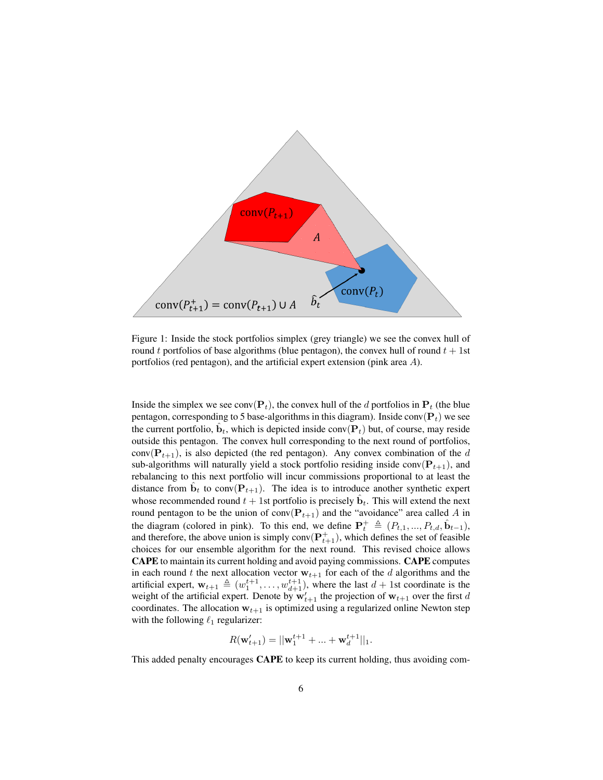

<span id="page-5-0"></span>Figure 1: Inside the stock portfolios simplex (grey triangle) we see the convex hull of round t portfolios of base algorithms (blue pentagon), the convex hull of round  $t + 1$ st portfolios (red pentagon), and the artificial expert extension (pink area A).

Inside the simplex we see conv( $P_t$ ), the convex hull of the d portfolios in  $P_t$  (the blue pentagon, corresponding to 5 base-algorithms in this diagram). Inside conv $(\mathbf{P}_t)$  we see the current portfolio,  $\hat{\mathbf{b}}_t$ , which is depicted inside conv $(\mathbf{P}_t)$  but, of course, may reside outside this pentagon. The convex hull corresponding to the next round of portfolios, conv( $P_{t+1}$ ), is also depicted (the red pentagon). Any convex combination of the d sub-algorithms will naturally yield a stock portfolio residing inside conv $(\mathbf{P}_{t+1})$ , and rebalancing to this next portfolio will incur commissions proportional to at least the distance from  $\hat{\mathbf{b}}_t$  to conv $(\mathbf{P}_{t+1})$ . The idea is to introduce another synthetic expert whose recommended round  $t + 1$ st portfolio is precisely  $\hat{\mathbf{b}}_t$ . This will extend the next round pentagon to be the union of  $conv(P_{t+1})$  and the "avoidance" area called A in the diagram (colored in pink). To this end, we define  $\mathbf{P}_t^+ \triangleq (P_{t,1}, ..., P_{t,d}, \hat{\mathbf{b}}_{t-1}),$ and therefore, the above union is simply conv $(\mathbf{P}_{t+1}^+)$ , which defines the set of feasible choices for our ensemble algorithm for the next round. This revised choice allows CAPE to maintain its current holding and avoid paying commissions. CAPE computes in each round t the next allocation vector  $w_{t+1}$  for each of the d algorithms and the artificial expert,  $w_{t+1} \triangleq (w_1^{t+1}, \ldots, w_{d+1}^{t+1})$ , where the last  $d + 1$ st coordinate is the weight of the artificial expert. Denote by  $\mathbf{w}'_{t+1}$  the projection of  $\mathbf{w}_{t+1}$  over the first d coordinates. The allocation  $w_{t+1}$  is optimized using a regularized online Newton step with the following  $\ell_1$  regularizer:

$$
R(\mathbf{w}'_{t+1}) = ||\mathbf{w}_1^{t+1} + ... + \mathbf{w}_d^{t+1}||_1.
$$

This added penalty encourages CAPE to keep its current holding, thus avoiding com-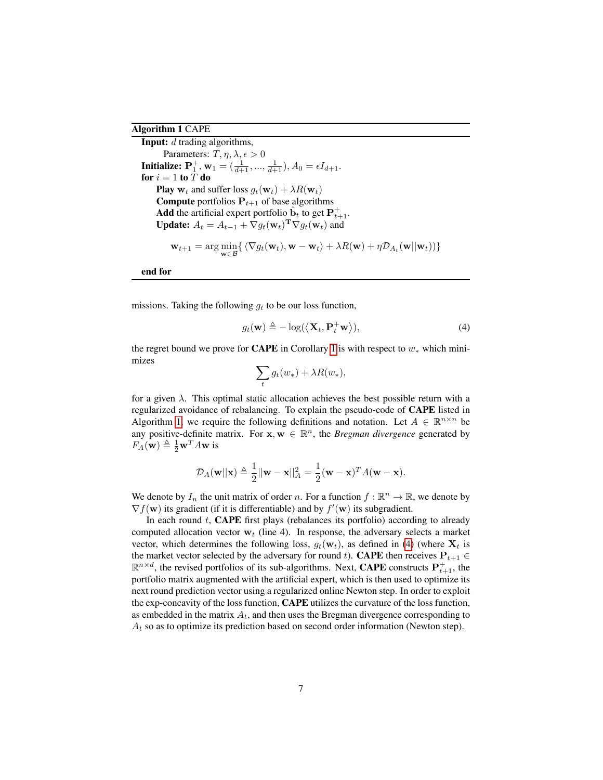#### <span id="page-6-0"></span>Algorithm 1 CAPE

Input: d trading algorithms, Parameters:  $T, \eta, \lambda, \epsilon > 0$ **Initialize:**  $P_1^+$ ,  $w_1 = (\frac{1}{d+1}, ..., \frac{1}{d+1}), A_0 = \epsilon I_{d+1}.$ for  $i = 1$  to  $T$  do **Play**  $w_t$  and suffer loss  $g_t(\mathbf{w}_t) + \lambda R(\mathbf{w}_t)$ **Compute** portfolios  $P_{t+1}$  of base algorithms Add the artificial expert portfolio  $\hat{\mathbf{b}}_t$  to get  $\mathbf{P}_{t+1}^+$ . **Update:**  $A_t = A_{t-1} + \nabla g_t(\mathbf{w}_t)^\mathrm{T} \nabla g_t(\mathbf{w}_t)$  and

$$
\mathbf{w}_{t+1} = \arg\min_{\mathbf{w}\in\mathcal{B}} \{ \langle \nabla g_t(\mathbf{w}_t), \mathbf{w} - \mathbf{w}_t \rangle + \lambda R(\mathbf{w}) + \eta \mathcal{D}_{A_t}(\mathbf{w}||\mathbf{w}_t)) \}
$$

end for

missions. Taking the following  $g_t$  to be our loss function,

<span id="page-6-1"></span>
$$
g_t(\mathbf{w}) \triangleq -\log(\langle \mathbf{X}_t, \mathbf{P}_t^+ \mathbf{w} \rangle), \tag{4}
$$

the regret bound we prove for **CAPE** in Corollary [1](#page-8-1) is with respect to  $w_*$  which minimizes

$$
\sum_{t} g_t(w_*) + \lambda R(w_*),
$$

for a given  $\lambda$ . This optimal static allocation achieves the best possible return with a regularized avoidance of rebalancing. To explain the pseudo-code of CAPE listed in Algorithm [1,](#page-6-0) we require the following definitions and notation. Let  $A \in \mathbb{R}^{n \times n}$  be any positive-definite matrix. For  $x, w \in \mathbb{R}^n$ , the *Bregman divergence* generated by  $F_A(\mathbf{w}) \triangleq \frac{1}{2}\mathbf{w}^T A \mathbf{w}$  is

$$
\mathcal{D}_A(\mathbf{w}||\mathbf{x}) \triangleq \frac{1}{2}||\mathbf{w} - \mathbf{x}||_A^2 = \frac{1}{2}(\mathbf{w} - \mathbf{x})^T A(\mathbf{w} - \mathbf{x}).
$$

We denote by  $I_n$  the unit matrix of order n. For a function  $f : \mathbb{R}^n \to \mathbb{R}$ , we denote by  $\nabla f(\mathbf{w})$  its gradient (if it is differentiable) and by  $f'(\mathbf{w})$  its subgradient.

In each round  $t$ , CAPE first plays (rebalances its portfolio) according to already computed allocation vector  $w_t$  (line 4). In response, the adversary selects a market vector, which determines the following loss,  $g_t(\mathbf{w}_t)$ , as defined in [\(4\)](#page-6-1) (where  $\mathbf{X}_t$  is the market vector selected by the adversary for round t). **CAPE** then receives  $P_{t+1} \in$  $\mathbb{R}^{n \times d}$ , the revised portfolios of its sub-algorithms. Next, CAPE constructs  $\mathbf{P}_{t+1}^+$ , the portfolio matrix augmented with the artificial expert, which is then used to optimize its next round prediction vector using a regularized online Newton step. In order to exploit the exp-concavity of the loss function, CAPE utilizes the curvature of the loss function, as embedded in the matrix  $A_t$ , and then uses the Bregman divergence corresponding to  $A_t$  so as to optimize its prediction based on second order information (Newton step).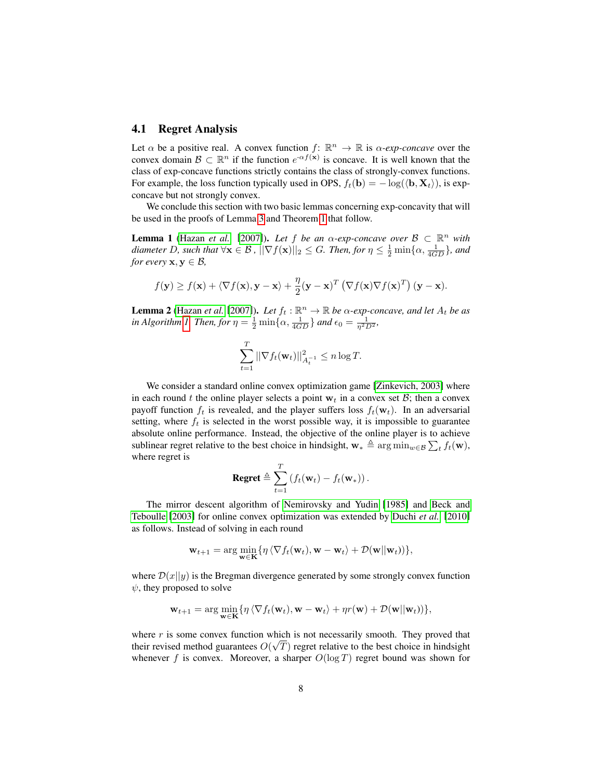#### 4.1 Regret Analysis

Let  $\alpha$  be a positive real. A convex function  $f: \mathbb{R}^n \to \mathbb{R}$  is  $\alpha$ -exp-concave over the convex domain  $\mathcal{B} \subset \mathbb{R}^n$  if the function  $e^{-\alpha f(x)}$  is concave. It is well known that the class of exp-concave functions strictly contains the class of strongly-convex functions. For example, the loss function typically used in OPS,  $f_t(\mathbf{b}) = -\log(\langle \mathbf{b}, \mathbf{X}_t \rangle)$ , is expconcave but not strongly convex.

We conclude this section with two basic lemmas concerning exp-concavity that will be used in the proofs of Lemma [3](#page-8-2) and Theorem [1](#page-8-3) that follow.

**Lemma 1** [\(Hazan](#page-14-11) *et al.* [\[2007\]](#page-14-11)). *Let* f *be an*  $\alpha$ -exp-concave over  $\beta \subset \mathbb{R}^n$  with diameter D, such that  $\forall x \in B$  ,  $||\nabla f(x)||_2 \leq G$ . Then, for  $\eta \leq \frac{1}{2} \min\{\alpha, \frac{1}{4GD}\}\$ , and *for every*  $x, y \in B$ *,* 

$$
f(\mathbf{y}) \ge f(\mathbf{x}) + \langle \nabla f(\mathbf{x}), \mathbf{y} - \mathbf{x} \rangle + \frac{\eta}{2} (\mathbf{y} - \mathbf{x})^T (\nabla f(\mathbf{x}) \nabla f(\mathbf{x})^T) (\mathbf{y} - \mathbf{x}).
$$

**Lemma 2** [\(Hazan](#page-14-11) *et al.* [\[2007\]](#page-14-11)). *Let*  $f_t : \mathbb{R}^n \to \mathbb{R}$  *be*  $\alpha$ -*exp*-concave, and let  $A_t$  *be* as *in Algorithm [1.](#page-6-0) Then, for*  $\eta = \frac{1}{2} \min\{\alpha, \frac{1}{4GD}\}\$  *and*  $\epsilon_0 = \frac{1}{\eta^2 D^2}$ *,* 

$$
\sum_{t=1}^T ||\nabla f_t(\mathbf{w}_t)||_{A_t^{-1}}^2 \le n \log T.
$$

We consider a standard online convex optimization game [\[Zinkevich, 2003\]](#page-15-5) where in each round t the online player selects a point  $w_t$  in a convex set  $\mathcal{B}$ ; then a convex payoff function  $f_t$  is revealed, and the player suffers loss  $f_t(\mathbf{w}_t)$ . In an adversarial setting, where  $f_t$  is selected in the worst possible way, it is impossible to guarantee absolute online performance. Instead, the objective of the online player is to achieve sublinear regret relative to the best choice in hindsight,  $\mathbf{w}_* \triangleq \arg \min_{w \in \mathcal{B}} \sum_t f_t(\mathbf{w}),$ where regret is

$$
\textbf{Regret} \triangleq \sum_{t=1}^T \left( f_t(\mathbf{w}_t) - f_t(\mathbf{w}_*) \right).
$$

The mirror descent algorithm of [Nemirovsky and Yudin](#page-15-6) [\[1985\]](#page-15-6) and [Beck and](#page-13-10) [Teboulle](#page-13-10) [\[2003\]](#page-13-10) for online convex optimization was extended by [Duchi](#page-14-4) *et al.* [\[2010\]](#page-14-4) as follows. Instead of solving in each round

$$
\mathbf{w}_{t+1} = \arg\min_{\mathbf{w}\in\mathbf{K}} \{ \eta \langle \nabla f_t(\mathbf{w}_t), \mathbf{w} - \mathbf{w}_t \rangle + \mathcal{D}(\mathbf{w}||\mathbf{w}_t) \} \},
$$

where  $\mathcal{D}(x||y)$  is the Bregman divergence generated by some strongly convex function  $\psi$ , they proposed to solve

$$
\mathbf{w}_{t+1} = \arg\min_{\mathbf{w}\in\mathbf{K}} \{ \eta \left\langle \nabla f_t(\mathbf{w}_t), \mathbf{w} - \mathbf{w}_t \right\rangle + \eta r(\mathbf{w}) + \mathcal{D}(\mathbf{w}||\mathbf{w}_t) ) \},
$$

where r is some convex function which is not necessarily smooth. They proved that their revised method guarantees  $O(\sqrt{T})$  regret relative to the best choice in hindsight whenever f is convex. Moreover, a sharper  $O(\log T)$  regret bound was shown for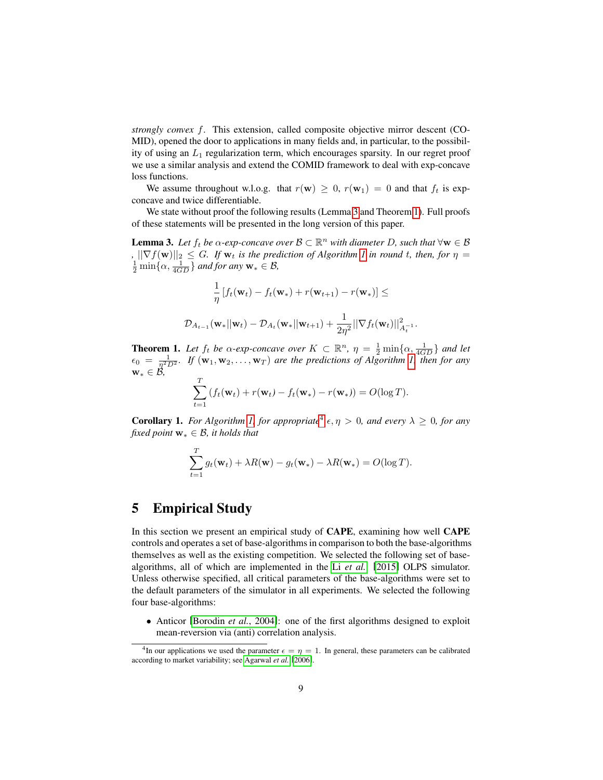*strongly convex* f. This extension, called composite objective mirror descent (CO-MID), opened the door to applications in many fields and, in particular, to the possibility of using an  $L_1$  regularization term, which encourages sparsity. In our regret proof we use a similar analysis and extend the COMID framework to deal with exp-concave loss functions.

We assume throughout w.l.o.g. that  $r(\mathbf{w}) \geq 0$ ,  $r(\mathbf{w}_1) = 0$  and that  $f_t$  is expconcave and twice differentiable.

We state without proof the following results (Lemma [3](#page-8-2) and Theorem [1\)](#page-8-3). Full proofs of these statements will be presented in the long version of this paper.

<span id="page-8-2"></span>**Lemma 3.** Let  $f_t$  be  $\alpha$ -exp-concave over  $\mathcal{B} \subset \mathbb{R}^n$  with diameter D, such that  $\forall w \in \mathcal{B}$ *,*  $||\nabla f(\mathbf{w})||_2 \leq G$ . If  $\mathbf{w}_t$  is the prediction of Algorithm [1](#page-6-0) in round t, then, for  $\eta =$  $\frac{1}{2} \min\{\alpha, \frac{1}{4GD}\}\$ and for any  $\mathbf{w}_* \in \mathcal{B}$ ,

$$
\frac{1}{\eta} \left[ f_t(\mathbf{w}_t) - f_t(\mathbf{w}_*) + r(\mathbf{w}_{t+1}) - r(\mathbf{w}_*) \right] \le
$$
  

$$
\mathcal{D}_{A_{t-1}}(\mathbf{w}_* || \mathbf{w}_t) - \mathcal{D}_{A_t}(\mathbf{w}_* || \mathbf{w}_{t+1}) + \frac{1}{2\eta^2} ||\nabla f_t(\mathbf{w}_t)||_{A_t^{-1}}^2
$$

.

<span id="page-8-3"></span>**Theorem 1.** Let  $f_t$  be  $\alpha$ -exp-concave over  $K \subset \mathbb{R}^n$ ,  $\eta = \frac{1}{2} \min\{\alpha, \frac{1}{4GD}\}\$  and let  $\epsilon_0 = \frac{1}{\eta^2 D^2}$ . If  $(\mathbf{w}_1, \mathbf{w}_2, \dots, \mathbf{w}_T)$  are the predictions of Algorithm [1,](#page-6-0) then for any w<sup>∗</sup> ∈ B*,*

$$
\sum_{t=1}^T \left( f_t(\mathbf{w}_t) + r(\mathbf{w}_t) - f_t(\mathbf{w}_*) - r(\mathbf{w}_*) \right) = O(\log T).
$$

<span id="page-8-1"></span>**Corollary 1.** For Algorithm [1,](#page-6-0) for appropriate<sup>[4](#page-8-4)</sup>  $\epsilon, \eta > 0$ , and every  $\lambda \geq 0$ , for any *fixed point*  $w_* \in \mathcal{B}$ *, it holds that* 

$$
\sum_{t=1}^T g_t(\mathbf{w}_t) + \lambda R(\mathbf{w}) - g_t(\mathbf{w}_*) - \lambda R(\mathbf{w}_*) = O(\log T).
$$

## <span id="page-8-0"></span>5 Empirical Study

In this section we present an empirical study of CAPE, examining how well CAPE controls and operates a set of base-algorithms in comparison to both the base-algorithms themselves as well as the existing competition. We selected the following set of basealgorithms, all of which are implemented in the Li *[et al.](#page-15-7)* [\[2015\]](#page-15-7) OLPS simulator. Unless otherwise specified, all critical parameters of the base-algorithms were set to the default parameters of the simulator in all experiments. We selected the following four base-algorithms:

• Anticor [\[Borodin](#page-13-4) *et al.*, 2004]: one of the first algorithms designed to exploit mean-reversion via (anti) correlation analysis.

<span id="page-8-4"></span><sup>&</sup>lt;sup>4</sup>In our applications we used the parameter  $\epsilon = \eta = 1$ . In general, these parameters can be calibrated according to market variability; see [Agarwal](#page-13-11) *et al.* [\[2006\]](#page-13-11).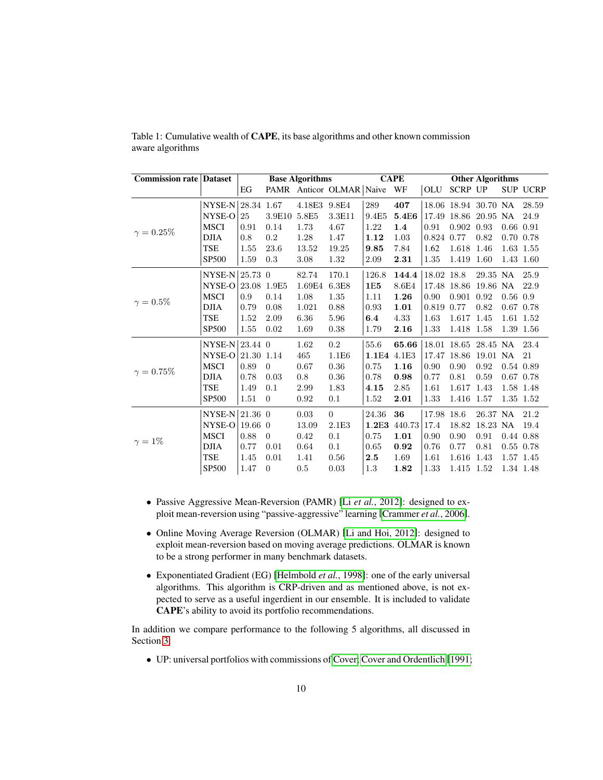| <b>Commission rate Dataset</b> |                      |            |                | <b>Base Algorithms</b> |                          |             | <b>CAPE</b> |            |                      | <b>Other Algorithms</b> |               |                 |
|--------------------------------|----------------------|------------|----------------|------------------------|--------------------------|-------------|-------------|------------|----------------------|-------------------------|---------------|-----------------|
|                                |                      | EG         |                |                        | PAMR Anticor OLMAR Naive |             | WF          | OLU        | <b>SCRP UP</b>       |                         |               | <b>SUP UCRP</b> |
| $\gamma = 0.25\%$              | NYSE-N 28.34 1.67    |            |                | 4.18E3                 | 9.8E4                    | 289         | 407         |            | 18.06 18.94 30.70 NA |                         |               | 28.59           |
|                                | NYSE-O               | 25         | 3.9E10         | 5.8E5                  | 3.3E11                   | 9.4E5       | 5.4E6       |            | 17.49 18.86 20.95 NA |                         |               | 24.9            |
|                                | <b>MSCI</b>          | 0.91       | 0.14           | 1.73                   | 4.67                     | 1.22        | 1.4         | 0.91       | 0.902                | 0.93                    | $0.66$ $0.91$ |                 |
|                                | <b>DJIA</b>          | 0.8        | 0.2            | 1.28                   | 1.47                     | 1.12        | 1.03        | 0.824 0.77 |                      | 0.82                    | 0.70 0.78     |                 |
|                                | <b>TSE</b>           | 1.55       | 23.6           | 13.52                  | 19.25                    | 9.85        | 7.84        | 1.62       | 1.618                | 1.46                    |               | 1.63 1.55       |
|                                | <b>SP500</b>         | 1.59       | 0.3            | 3.08                   | 1.32                     | 2.09        | 2.31        | 1.35       | 1.419                | 1.60                    |               | 1.43 1.60       |
|                                | NYSE-N $ 25.73 \; 0$ |            |                | 82.74                  | 170.1                    | 126.8       | 144.4       | 18.02 18.8 |                      | 29.35 NA                |               | 25.9            |
| $\gamma = 0.5\%$               | NYSE-O               |            | 23.08 1.9E5    | 1.69E4                 | 6.3E8                    | <b>1E5</b>  | 8.6E4       |            | 17.48 18.86          | 19.86 NA                |               | 22.9            |
|                                | <b>MSCI</b>          | 0.9        | 0.14           | 1.08                   | 1.35                     | 1.11        | 1.26        | 0.90       | 0.901                | 0.92                    | $0.56$ 0.9    |                 |
|                                | <b>DJIA</b>          | 0.79       | 0.08           | 1.021                  | 0.88                     | 0.93        | 1.01        | 0.819 0.77 |                      | 0.82                    | $0.67$ 0.78   |                 |
|                                | <b>TSE</b>           | 1.52       | 2.09           | 6.36                   | 5.96                     | 6.4         | 4.33        | 1.63       | 1.617 1.45           |                         |               | 1.61 1.52       |
|                                | <b>SP500</b>         | 1.55       | 0.02           | 1.69                   | 0.38                     | 1.79        | 2.16        | 1.33       | 1.418 1.58           |                         |               | 1.39 1.56       |
| $\gamma = 0.75\%$              | $NYSE-N$ 23.44 0     |            |                | 1.62                   | $0.2\,$                  | 55.6        | 65.66       |            | 18.01 18.65 28.45 NA |                         |               | 23.4            |
|                                | NYSE-O               | 21.30 1.14 |                | 465                    | 1.1E <sub>6</sub>        | 1.1E4 4.1E3 |             |            | 17.47 18.86          | 19.01 NA                |               | 21              |
|                                | <b>MSCI</b>          | 0.89       | $\theta$       | 0.67                   | 0.36                     | 0.75        | 1.16        | 0.90       | 0.90                 | 0.92                    |               | 0.54 0.89       |
|                                | <b>DJIA</b>          | 0.78       | 0.03           | 0.8                    | 0.36                     | 0.78        | 0.98        | 0.77       | 0.81                 | 0.59                    | $0.67$ 0.78   |                 |
|                                | TSE                  | 1.49       | 0.1            | 2.99                   | 1.83                     | 4.15        | 2.85        | 1.61       | 1.617 1.43           |                         |               | 1.58 1.48       |
|                                | <b>SP500</b>         | 1.51       | $\theta$       | 0.92                   | 0.1                      | 1.52        | 2.01        | 1.33       | 1.416                | 1.57                    |               | 1.35 1.52       |
| $\gamma=1\%$                   | NYSE-N               | $21.36\ 0$ |                | 0.03                   | $\theta$                 | 24.36       | 36          | 17.98 18.6 |                      | 26.37 NA                |               | 21.2            |
|                                | NYSE-O               | $19.66\ 0$ |                | 13.09                  | 2.1E3                    | 1.2E3       | 440.73      | 17.4       | 18.82                | 18.23 NA                |               | 19.4            |
|                                | <b>MSCI</b>          | 0.88       | $\Omega$       | 0.42                   | 0.1                      | 0.75        | 1.01        | 0.90       | 0.90                 | 0.91                    | 0.44 0.88     |                 |
|                                | <b>DJIA</b>          | 0.77       | 0.01           | 0.64                   | 0.1                      | 0.65        | 0.92        | 0.76       | 0.77                 | 0.81                    | $0.55$ 0.78   |                 |
|                                | TSE                  | 1.45       | 0.01           | 1.41                   | 0.56                     | 2.5         | 1.69        | 1.61       | 1.616                | 1.43                    |               | 1.57 1.45       |
|                                | <b>SP500</b>         | 1.47       | $\overline{0}$ | 0.5                    | 0.03                     | 1.3         | 1.82        | 1.33       | 1.415 1.52           |                         |               | 1.34 1.48       |

<span id="page-9-0"></span>Table 1: Cumulative wealth of CAPE, its base algorithms and other known commission aware algorithms

- Passive Aggressive Mean-Reversion (PAMR) [Li *et al.*[, 2012\]](#page-15-3): designed to exploit mean-reversion using "passive-aggressive" learning [\[Crammer](#page-13-12) *et al.*, 2006].
- Online Moving Average Reversion (OLMAR) [\[Li and Hoi, 2012\]](#page-14-3): designed to exploit mean-reversion based on moving average predictions. OLMAR is known to be a strong performer in many benchmark datasets.
- Exponentiated Gradient (EG) [\[Helmbold](#page-14-0) *et al.*, 1998]: one of the early universal algorithms. This algorithm is CRP-driven and as mentioned above, is not expected to serve as a useful ingerdient in our ensemble. It is included to validate CAPE's ability to avoid its portfolio recommendations.

In addition we compare performance to the following 5 algorithms, all discussed in Section [3:](#page-3-1)

• UP: universal portfolios with commissions of [Cover;](#page-13-0) [Cover and Ordentlich](#page-13-8) [\[1991;](#page-13-0)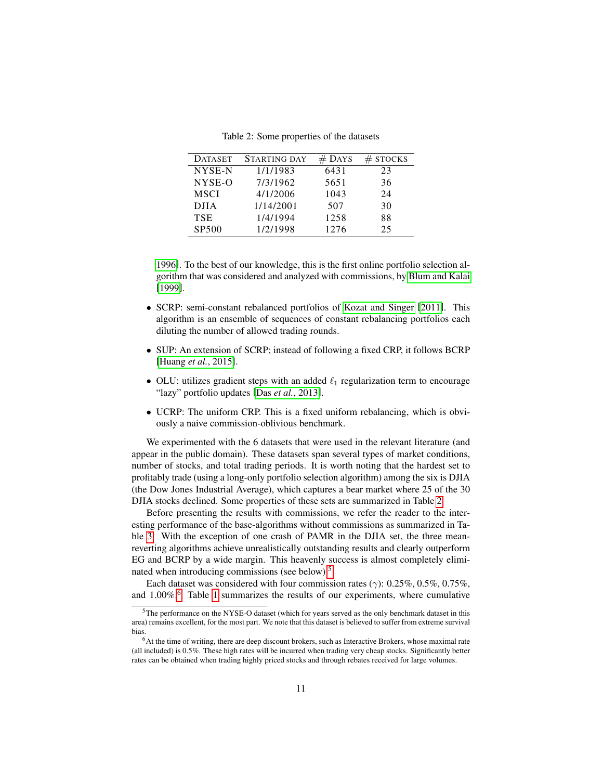<span id="page-10-0"></span>Table 2: Some properties of the datasets

| <b>DATASET</b> | STARTING DAY | $#$ DAYS | $#$ STOCKS |
|----------------|--------------|----------|------------|
| NYSE-N         | 1/1/1983     | 6431     | 23         |
|                |              |          |            |
| NYSE-O         | 7/3/1962     | 5651     | 36         |
| <b>MSCI</b>    | 4/1/2006     | 1043     | 24         |
| DJIA           | 1/14/2001    | 507      | 30         |
| <b>TSE</b>     | 1/4/1994     | 1258     | 88         |
| <b>SP500</b>   | 1/2/1998     | 1276     | 25         |

[1996\]](#page-13-8). To the best of our knowledge, this is the first online portfolio selection algorithm that was considered and analyzed with commissions, by [Blum and Kalai](#page-13-5) [\[1999\]](#page-13-5).

- SCRP: semi-constant rebalanced portfolios of [Kozat and Singer](#page-14-1) [\[2011\]](#page-14-1). This algorithm is an ensemble of sequences of constant rebalancing portfolios each diluting the number of allowed trading rounds.
- SUP: An extension of SCRP; instead of following a fixed CRP, it follows BCRP [\[Huang](#page-14-8) *et al.*, 2015].
- OLU: utilizes gradient steps with an added  $\ell_1$  regularization term to encourage "lazy" portfolio updates [Das *et al.*[, 2013\]](#page-13-1).
- UCRP: The uniform CRP. This is a fixed uniform rebalancing, which is obviously a naive commission-oblivious benchmark.

We experimented with the 6 datasets that were used in the relevant literature (and appear in the public domain). These datasets span several types of market conditions, number of stocks, and total trading periods. It is worth noting that the hardest set to profitably trade (using a long-only portfolio selection algorithm) among the six is DJIA (the Dow Jones Industrial Average), which captures a bear market where 25 of the 30 DJIA stocks declined. Some properties of these sets are summarized in Table [2.](#page-10-0)

Before presenting the results with commissions, we refer the reader to the interesting performance of the base-algorithms without commissions as summarized in Table [3.](#page-11-0) With the exception of one crash of PAMR in the DJIA set, the three meanreverting algorithms achieve unrealistically outstanding results and clearly outperform EG and BCRP by a wide margin. This heavenly success is almost completely elimi-nated when introducing commissions (see below).<sup>[5](#page-10-1)</sup>

Each dataset was considered with four commission rates ( $\gamma$ ): 0.25%, 0.5%, 0.75%, and 1.00%.<sup>[6](#page-10-2)</sup> Table [1](#page-9-0) summarizes the results of our experiments, where cumulative

<span id="page-10-1"></span><sup>&</sup>lt;sup>5</sup>The performance on the NYSE-O dataset (which for years served as the only benchmark dataset in this area) remains excellent, for the most part. We note that this dataset is believed to suffer from extreme survival bias.

<span id="page-10-2"></span><sup>&</sup>lt;sup>6</sup>At the time of writing, there are deep discount brokers, such as Interactive Brokers, whose maximal rate (all included) is 0.5%. These high rates will be incurred when trading very cheap stocks. Significantly better rates can be obtained when trading highly priced stocks and through rebates received for large volumes.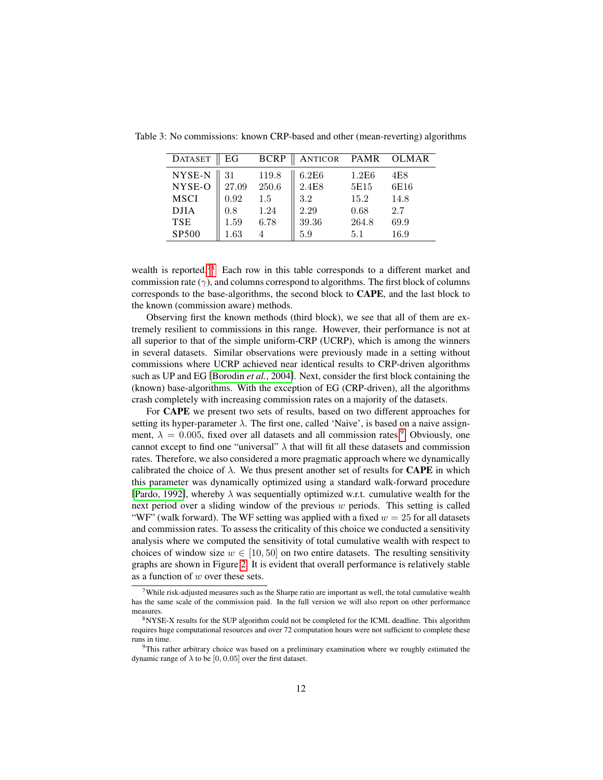<span id="page-11-0"></span>

| <b>DATASET</b> | EG    | <b>BCRP</b> | ANTICOR PAMR OLMAR |       |      |
|----------------|-------|-------------|--------------------|-------|------|
| NYSE-N         | 31    | 119.8       | 6.2E6              | 1.2E6 | 4E8  |
| NYSE-O         | 27.09 | 250.6       | 2.4E8              | 5E15  | 6E16 |
| <b>MSCI</b>    | 0.92  | 1.5         | 3.2                | 15.2  | 14.8 |
| <b>DJIA</b>    | 0.8   | 1.24        | 2.29               | 0.68  | 2.7  |
| <b>TSE</b>     | 1.59  | 6.78        | 39.36              | 264.8 | 69.9 |
| SP500          | 1.63  |             | 5.9                | 5.1   | 16.9 |

Table 3: No commissions: known CRP-based and other (mean-reverting) algorithms

wealth is reported.[7](#page-11-1)[8](#page-11-2) Each row in this table corresponds to a different market and commission rate  $(\gamma)$ , and columns correspond to algorithms. The first block of columns corresponds to the base-algorithms, the second block to CAPE, and the last block to the known (commission aware) methods.

Observing first the known methods (third block), we see that all of them are extremely resilient to commissions in this range. However, their performance is not at all superior to that of the simple uniform-CRP (UCRP), which is among the winners in several datasets. Similar observations were previously made in a setting without commissions where UCRP achieved near identical results to CRP-driven algorithms such as UP and EG [\[Borodin](#page-13-4) *et al.*, 2004]. Next, consider the first block containing the (known) base-algorithms. With the exception of EG (CRP-driven), all the algorithms crash completely with increasing commission rates on a majority of the datasets.

For CAPE we present two sets of results, based on two different approaches for setting its hyper-parameter  $\lambda$ . The first one, called 'Naive', is based on a naive assignment,  $\lambda = 0.005$ , fixed over all datasets and all commission rates.<sup>[9](#page-11-3)</sup> Obviously, one cannot except to find one "universal"  $\lambda$  that will fit all these datasets and commission rates. Therefore, we also considered a more pragmatic approach where we dynamically calibrated the choice of  $\lambda$ . We thus present another set of results for **CAPE** in which this parameter was dynamically optimized using a standard walk-forward procedure [\[Pardo, 1992\]](#page-15-8), whereby  $\lambda$  was sequentially optimized w.r.t. cumulative wealth for the next period over a sliding window of the previous  $w$  periods. This setting is called "WF" (walk forward). The WF setting was applied with a fixed  $w = 25$  for all datasets and commission rates. To assess the criticality of this choice we conducted a sensitivity analysis where we computed the sensitivity of total cumulative wealth with respect to choices of window size  $w \in [10, 50]$  on two entire datasets. The resulting sensitivity graphs are shown in Figure [2.](#page-12-0) It is evident that overall performance is relatively stable as a function of w over these sets.

<span id="page-11-1"></span><sup>&</sup>lt;sup>7</sup>While risk-adjusted measures such as the Sharpe ratio are important as well, the total cumulative wealth has the same scale of the commission paid. In the full version we will also report on other performance measures.

<span id="page-11-2"></span><sup>&</sup>lt;sup>8</sup>NYSE-X results for the SUP algorithm could not be completed for the ICML deadline. This algorithm requires huge computational resources and over 72 computation hours were not sufficient to complete these runs in time.

<span id="page-11-3"></span><sup>&</sup>lt;sup>9</sup>This rather arbitrary choice was based on a preliminary examination where we roughly estimated the dynamic range of  $\lambda$  to be [0, 0.05] over the first dataset.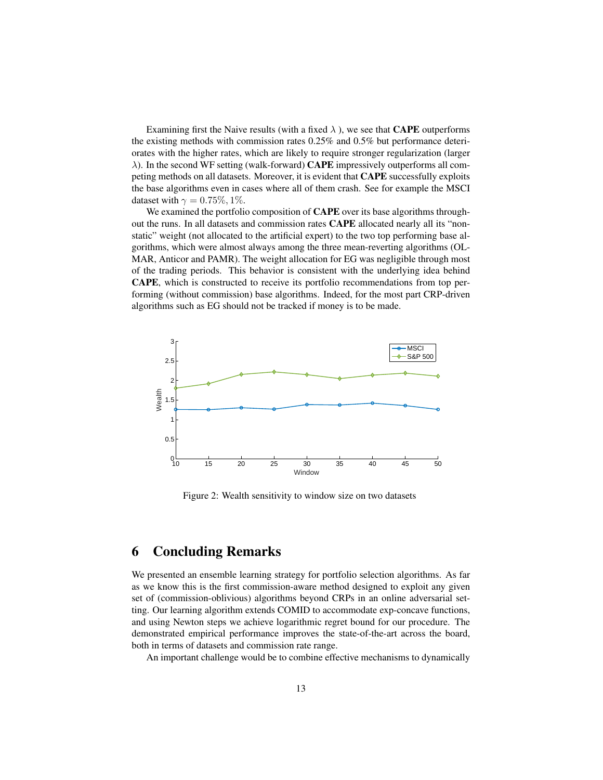Examining first the Naive results (with a fixed  $\lambda$ ), we see that **CAPE** outperforms the existing methods with commission rates 0.25% and 0.5% but performance deteriorates with the higher rates, which are likely to require stronger regularization (larger  $\lambda$ ). In the second WF setting (walk-forward) **CAPE** impressively outperforms all competing methods on all datasets. Moreover, it is evident that CAPE successfully exploits the base algorithms even in cases where all of them crash. See for example the MSCI dataset with  $\gamma = 0.75\%, 1\%$ .

We examined the portfolio composition of **CAPE** over its base algorithms throughout the runs. In all datasets and commission rates CAPE allocated nearly all its "nonstatic" weight (not allocated to the artificial expert) to the two top performing base algorithms, which were almost always among the three mean-reverting algorithms (OL-MAR, Anticor and PAMR). The weight allocation for EG was negligible through most of the trading periods. This behavior is consistent with the underlying idea behind CAPE, which is constructed to receive its portfolio recommendations from top performing (without commission) base algorithms. Indeed, for the most part CRP-driven algorithms such as EG should not be tracked if money is to be made.



<span id="page-12-0"></span>Figure 2: Wealth sensitivity to window size on two datasets

# 6 Concluding Remarks

We presented an ensemble learning strategy for portfolio selection algorithms. As far as we know this is the first commission-aware method designed to exploit any given set of (commission-oblivious) algorithms beyond CRPs in an online adversarial setting. Our learning algorithm extends COMID to accommodate exp-concave functions, and using Newton steps we achieve logarithmic regret bound for our procedure. The demonstrated empirical performance improves the state-of-the-art across the board, both in terms of datasets and commission rate range.

An important challenge would be to combine effective mechanisms to dynamically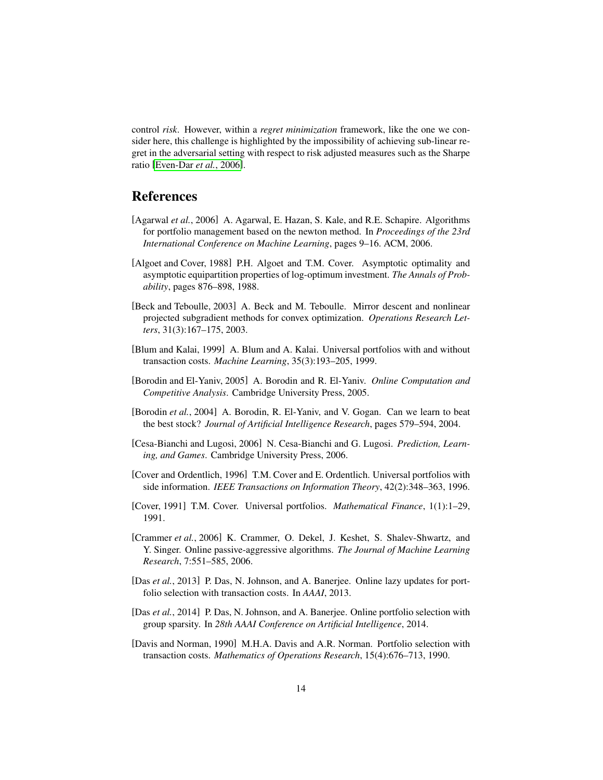control *risk*. However, within a *regret minimization* framework, like the one we consider here, this challenge is highlighted by the impossibility of achieving sub-linear regret in the adversarial setting with respect to risk adjusted measures such as the Sharpe ratio [\[Even-Dar](#page-14-12) *et al.*, 2006].

## References

- <span id="page-13-11"></span>[Agarwal *et al.*, 2006] A. Agarwal, E. Hazan, S. Kale, and R.E. Schapire. Algorithms for portfolio management based on the newton method. In *Proceedings of the 23rd International Conference on Machine Learning*, pages 9–16. ACM, 2006.
- <span id="page-13-9"></span>[Algoet and Cover, 1988] P.H. Algoet and T.M. Cover. Asymptotic optimality and asymptotic equipartition properties of log-optimum investment. *The Annals of Probability*, pages 876–898, 1988.
- <span id="page-13-10"></span>[Beck and Teboulle, 2003] A. Beck and M. Teboulle. Mirror descent and nonlinear projected subgradient methods for convex optimization. *Operations Research Letters*, 31(3):167–175, 2003.
- <span id="page-13-5"></span>[Blum and Kalai, 1999] A. Blum and A. Kalai. Universal portfolios with and without transaction costs. *Machine Learning*, 35(3):193–205, 1999.
- <span id="page-13-6"></span>[Borodin and El-Yaniv, 2005] A. Borodin and R. El-Yaniv. *Online Computation and Competitive Analysis*. Cambridge University Press, 2005.
- <span id="page-13-4"></span>[Borodin *et al.*, 2004] A. Borodin, R. El-Yaniv, and V. Gogan. Can we learn to beat the best stock? *Journal of Artificial Intelligence Research*, pages 579–594, 2004.
- <span id="page-13-3"></span>[Cesa-Bianchi and Lugosi, 2006] N. Cesa-Bianchi and G. Lugosi. *Prediction, Learning, and Games*. Cambridge University Press, 2006.
- <span id="page-13-8"></span>[Cover and Ordentlich, 1996] T.M. Cover and E. Ordentlich. Universal portfolios with side information. *IEEE Transactions on Information Theory*, 42(2):348–363, 1996.
- <span id="page-13-0"></span>[Cover, 1991] T.M. Cover. Universal portfolios. *Mathematical Finance*, 1(1):1–29, 1991.
- <span id="page-13-12"></span>[Crammer *et al.*, 2006] K. Crammer, O. Dekel, J. Keshet, S. Shalev-Shwartz, and Y. Singer. Online passive-aggressive algorithms. *The Journal of Machine Learning Research*, 7:551–585, 2006.
- <span id="page-13-1"></span>[Das *et al.*, 2013] P. Das, N. Johnson, and A. Banerjee. Online lazy updates for portfolio selection with transaction costs. In *AAAI*, 2013.
- <span id="page-13-2"></span>[Das *et al.*, 2014] P. Das, N. Johnson, and A. Banerjee. Online portfolio selection with group sparsity. In *28th AAAI Conference on Artificial Intelligence*, 2014.
- <span id="page-13-7"></span>[Davis and Norman, 1990] M.H.A. Davis and A.R. Norman. Portfolio selection with transaction costs. *Mathematics of Operations Research*, 15(4):676–713, 1990.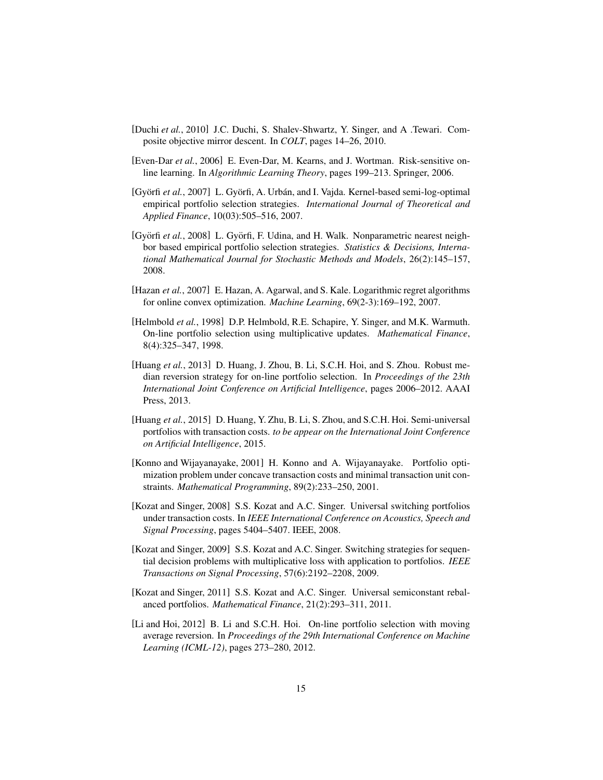- <span id="page-14-4"></span>[Duchi *et al.*, 2010] J.C. Duchi, S. Shalev-Shwartz, Y. Singer, and A .Tewari. Composite objective mirror descent. In *COLT*, pages 14–26, 2010.
- <span id="page-14-12"></span>[Even-Dar *et al.*, 2006] E. Even-Dar, M. Kearns, and J. Wortman. Risk-sensitive online learning. In *Algorithmic Learning Theory*, pages 199–213. Springer, 2006.
- <span id="page-14-10"></span>[Györfi et al., 2007] L. Györfi, A. Urbán, and I. Vajda. Kernel-based semi-log-optimal empirical portfolio selection strategies. *International Journal of Theoretical and Applied Finance*, 10(03):505–516, 2007.
- <span id="page-14-9"></span>[Györfi *et al.*, 2008] L. Györfi, F. Udina, and H. Walk. Nonparametric nearest neighbor based empirical portfolio selection strategies. *Statistics & Decisions, International Mathematical Journal for Stochastic Methods and Models*, 26(2):145–157, 2008.
- <span id="page-14-11"></span>[Hazan *et al.*, 2007] E. Hazan, A. Agarwal, and S. Kale. Logarithmic regret algorithms for online convex optimization. *Machine Learning*, 69(2-3):169–192, 2007.
- <span id="page-14-0"></span>[Helmbold *et al.*, 1998] D.P. Helmbold, R.E. Schapire, Y. Singer, and M.K. Warmuth. On-line portfolio selection using multiplicative updates. *Mathematical Finance*, 8(4):325–347, 1998.
- <span id="page-14-2"></span>[Huang *et al.*, 2013] D. Huang, J. Zhou, B. Li, S.C.H. Hoi, and S. Zhou. Robust median reversion strategy for on-line portfolio selection. In *Proceedings of the 23th International Joint Conference on Artificial Intelligence*, pages 2006–2012. AAAI Press, 2013.
- <span id="page-14-8"></span>[Huang *et al.*, 2015] D. Huang, Y. Zhu, B. Li, S. Zhou, and S.C.H. Hoi. Semi-universal portfolios with transaction costs. *to be appear on the International Joint Conference on Artificial Intelligence*, 2015.
- <span id="page-14-5"></span>[Konno and Wijayanayake, 2001] H. Konno and A. Wijayanayake. Portfolio optimization problem under concave transaction costs and minimal transaction unit constraints. *Mathematical Programming*, 89(2):233–250, 2001.
- <span id="page-14-6"></span>[Kozat and Singer, 2008] S.S. Kozat and A.C. Singer. Universal switching portfolios under transaction costs. In *IEEE International Conference on Acoustics, Speech and Signal Processing*, pages 5404–5407. IEEE, 2008.
- <span id="page-14-7"></span>[Kozat and Singer, 2009] S.S. Kozat and A.C. Singer. Switching strategies for sequential decision problems with multiplicative loss with application to portfolios. *IEEE Transactions on Signal Processing*, 57(6):2192–2208, 2009.
- <span id="page-14-1"></span>[Kozat and Singer, 2011] S.S. Kozat and A.C. Singer. Universal semiconstant rebalanced portfolios. *Mathematical Finance*, 21(2):293–311, 2011.
- <span id="page-14-3"></span>[Li and Hoi, 2012] B. Li and S.C.H. Hoi. On-line portfolio selection with moving average reversion. In *Proceedings of the 29th International Conference on Machine Learning (ICML-12)*, pages 273–280, 2012.